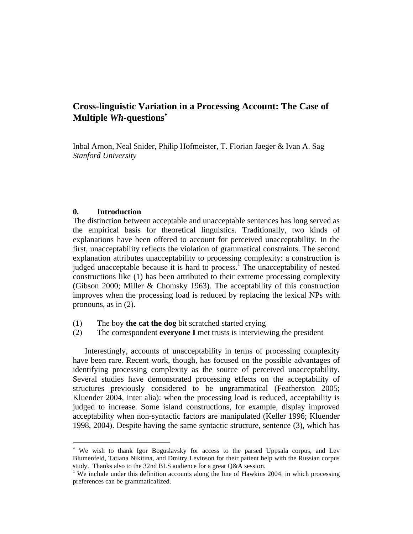# **Cross-linguistic Variation in a Processing Account: The Case of Multiple** *Wh***-questions**

Inbal Arnon, Neal Snider, Philip Hofmeister, T. Florian Jaeger & Ivan A. Sag *Stanford University*

## **0. Introduction**

 $\overline{a}$ 

The distinction between acceptable and unacceptable sentences has long served as the empirical basis for theoretical linguistics. Traditionally, two kinds of explanations have been offered to account for perceived unacceptability. In the first, unacceptability reflects the violation of grammatical constraints. The second explanation attributes unacceptability to processing complexity: a construction is judged unacceptable because it is hard to process.<sup>1</sup> The unacceptability of nested constructions like (1) has been attributed to their extreme processing complexity (Gibson 2000; Miller & Chomsky 1963). The acceptability of this construction improves when the processing load is reduced by replacing the lexical NPs with pronouns, as in (2).

- (1) The boy **the cat the dog** bit scratched started crying
- (2) The correspondent **everyone I** met trusts is interviewing the president

Interestingly, accounts of unacceptability in terms of processing complexity have been rare. Recent work, though, has focused on the possible advantages of identifying processing complexity as the source of perceived unacceptability. Several studies have demonstrated processing effects on the acceptability of structures previously considered to be ungrammatical (Featherston 2005; Kluender 2004, inter alia): when the processing load is reduced, acceptability is judged to increase. Some island constructions, for example, display improved acceptability when non-syntactic factors are manipulated (Keller 1996; Kluender 1998, 2004). Despite having the same syntactic structure, sentence (3), which has

 We wish to thank Igor Boguslavsky for access to the parsed Uppsala corpus, and Lev Blumenfeld, Tatiana Nikitina, and Dmitry Levinson for their patient help with the Russian corpus study. Thanks also to the 32nd BLS audience for a great Q&A session.

<sup>&</sup>lt;sup>1</sup> We include under this definition accounts along the line of Hawkins 2004, in which processing preferences can be grammaticalized.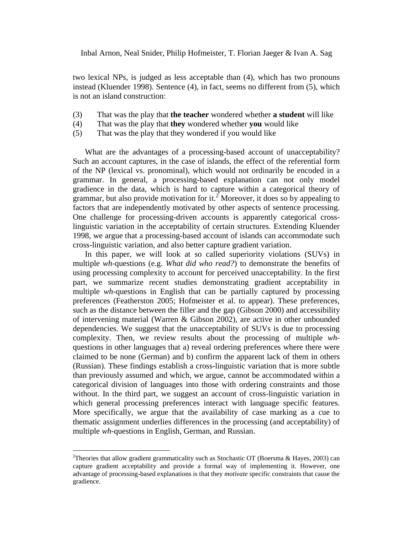two lexical NPs, is judged as less acceptable than (4), which has two pronouns instead (Kluender 1998). Sentence (4), in fact, seems no different from (5), which is not an island construction:

- (3) That was the play that **the teacher** wondered whether **a student** will like
- (4) That was the play that **they** wondered whether **you** would like
- (5) That was the play that they wondered if you would like

What are the advantages of a processing-based account of unacceptability? Such an account captures, in the case of islands, the effect of the referential form of the NP (lexical vs. pronominal), which would not ordinarily be encoded in a grammar. In general, a processing-based explanation can not only model gradience in the data, which is hard to capture within a categorical theory of grammar, but also provide motivation for it.<sup>2</sup> Moreover, it does so by appealing to factors that are independently motivated by other aspects of sentence processing. One challenge for processing-driven accounts is apparently categorical crosslinguistic variation in the acceptability of certain structures. Extending Kluender 1998, we argue that a processing-based account of islands can accommodate such cross-linguistic variation, and also better capture gradient variation.

In this paper, we will look at so called superiority violations (SUVs) in multiple *wh-*questions (e.g. *What did who read?*) to demonstrate the benefits of using processing complexity to account for perceived unacceptability. In the first part, we summarize recent studies demonstrating gradient acceptability in multiple *wh-*questions in English that can be partially captured by processing preferences (Featherston 2005; Hofmeister et al. to appear). These preferences, such as the distance between the filler and the gap (Gibson 2000) and accessibility of intervening material (Warren & Gibson 2002), are active in other unbounded dependencies. We suggest that the unacceptability of SUVs is due to processing complexity. Then, we review results about the processing of multiple *wh*questions in other languages that a) reveal ordering preferences where there were claimed to be none (German) and b) confirm the apparent lack of them in others (Russian). These findings establish a cross-linguistic variation that is more subtle than previously assumed and which, we argue, cannot be accommodated within a categorical division of languages into those with ordering constraints and those without. In the third part, we suggest an account of cross-linguistic variation in which general processing preferences interact with language specific features. More specifically, we argue that the availability of case marking as a cue to thematic assignment underlies differences in the processing (and acceptability) of multiple *wh-*questions in English, German, and Russian.

 $\overline{a}$ 

<sup>&</sup>lt;sup>2</sup>Theories that allow gradient grammaticality such as Stochastic OT (Boersma & Hayes, 2003) can capture gradient acceptability and provide a formal way of implementing it. However, one advantage of processing-based explanations is that they *motivate* specific constraints that cause the gradience.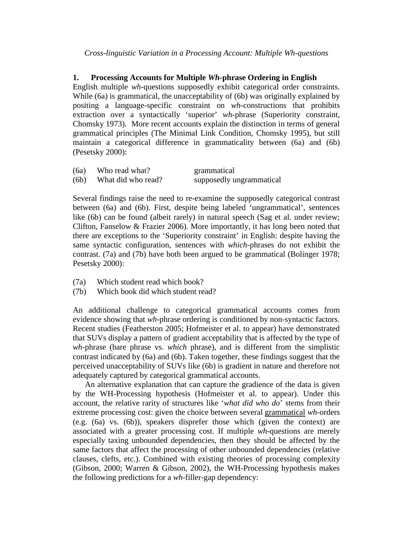*Cross-linguistic Variation in a Processing Account: Multiple Wh-questions*

## **1. Processing Accounts for Multiple** *Wh-***phrase Ordering in English**

English multiple *wh-*questions supposedly exhibit categorical order constraints. While (6a) is grammatical, the unacceptability of (6b) was originally explained by positing a language-specific constraint on *wh*-constructions that prohibits extraction over a syntactically 'superior' *wh-*phrase (Superiority constraint, Chomsky 1973). More recent accounts explain the distinction in terms of general grammatical principles (The Minimal Link Condition, Chomsky 1995), but still maintain a categorical difference in grammaticality between (6a) and (6b) (Pesetsky 2000):

| (6a) | Who read what?     | grammatical              |
|------|--------------------|--------------------------|
| (6b) | What did who read? | supposedly ungrammatical |

Several findings raise the need to re-examine the supposedly categorical contrast between (6a) and (6b). First, despite being labeled 'ungrammatical', sentences like (6b) can be found (albeit rarely) in natural speech (Sag et al. under review; Clifton, Fanselow & Frazier 2006). More importantly, it has long been noted that there are exceptions to the 'Superiority constraint' in English: despite having the same syntactic configuration, sentences with *which*-phrases do not exhibit the contrast. (7a) and (7b) have both been argued to be grammatical (Bolinger 1978; Pesetsky 2000):

- (7a) Which student read which book?
- (7b) Which book did which student read?

An additional challenge to categorical grammatical accounts comes from evidence showing that *wh-*phrase ordering is conditioned by non-syntactic factors. Recent studies (Featherston 2005; Hofmeister et al. to appear) have demonstrated that SUVs display a pattern of gradient acceptability that is affected by the type of *wh-*phrase (bare phrase vs. *which* phrase), and is different from the simplistic contrast indicated by (6a) and (6b). Taken together, these findings suggest that the perceived unacceptability of SUVs like (6b) is gradient in nature and therefore not adequately captured by categorical grammatical accounts.

An alternative explanation that can capture the gradience of the data is given by the WH-Processing hypothesis (Hofmeister et al. to appear). Under this account, the relative rarity of structures like '*what did who do*' stems from their extreme processing cost: given the choice between several grammatical *wh-*orders (e.g. (6a) vs. (6b)), speakers disprefer those which (given the context) are associated with a greater processing cost. If multiple *wh-*questions are merely especially taxing unbounded dependencies, then they should be affected by the same factors that affect the processing of other unbounded dependencies (relative clauses, clefts, etc.). Combined with existing theories of processing complexity (Gibson, 2000; Warren & Gibson, 2002), the WH-Processing hypothesis makes the following predictions for a *wh-*filler-gap dependency: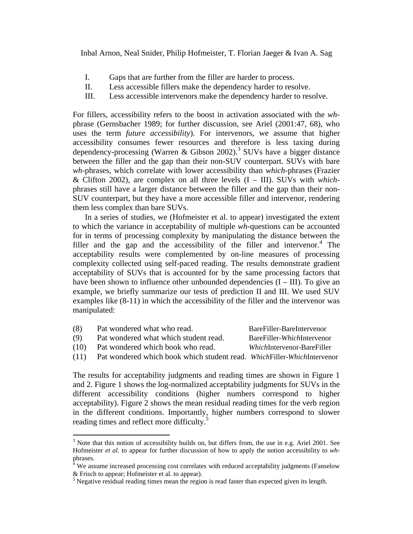- I. Gaps that are further from the filler are harder to process.
- II. Less accessible fillers make the dependency harder to resolve.
- III. Less accessible intervenors make the dependency harder to resolve.

For fillers, accessibility refers to the boost in activation associated with the *wh*phrase (Gernsbacher 1989; for further discussion, see Ariel (2001:47, 68), who uses the term *future accessibility*). For intervenors, we assume that higher accessibility consumes fewer resources and therefore is less taxing during dependency-processing (Warren & Gibson 2002).<sup>3</sup> SUVs have a bigger distance between the filler and the gap than their non-SUV counterpart. SUVs with bare *wh-*phrases, which correlate with lower accessibility than *which*-phrases (Frazier & Clifton 2002), are complex on all three levels (I – III). SUVs with *which*phrases still have a larger distance between the filler and the gap than their non-SUV counterpart, but they have a more accessible filler and intervenor, rendering them less complex than bare SUVs.

In a series of studies, we (Hofmeister et al. to appear) investigated the extent to which the variance in acceptability of multiple *wh-*questions can be accounted for in terms of processing complexity by manipulating the distance between the filler and the gap and the accessibility of the filler and intervenor. $4$  The acceptability results were complemented by on-line measures of processing complexity collected using self-paced reading. The results demonstrate gradient acceptability of SUVs that is accounted for by the same processing factors that have been shown to influence other unbounded dependencies  $(I - III)$ . To give an example, we briefly summarize our tests of prediction II and III. We used SUV examples like (8-11) in which the accessibility of the filler and the intervenor was manipulated:

| (8)  | Pat wondered what who read.                                             | BareFiller-BareIntervenor           |
|------|-------------------------------------------------------------------------|-------------------------------------|
| (9)  | Pat wondered what which student read.                                   | BareFiller- <i>Which</i> Intervenor |
| (10) | Pat wondered which book who read.                                       | <i>Which</i> Intervenor-BareFiller  |
| (11) | Pat wondered which book which student read. WhichFiller-WhichIntervenor |                                     |

The results for acceptability judgments and reading times are shown in Figure 1 and 2. Figure 1 shows the log-normalized acceptability judgments for SUVs in the different accessibility conditions (higher numbers correspond to higher acceptability). Figure 2 shows the mean residual reading times for the verb region in the different conditions. Importantly, higher numbers correspond to slower reading times and reflect more difficulty.<sup>5</sup>

 $\overline{a}$ 

 $3$  Note that this notion of accessibility builds on, but differs from, the use in e.g. Ariel 2001. See Hofmeister *et al.* to appear for further discussion of how to apply the notion accessibility to *wh*phrases.

 $4$  We assume increased processing cost correlates with reduced acceptability judgments (Fanselow & Frisch to appear; Hofmeister et al. to appear).

<sup>&</sup>lt;sup>5</sup> Negative residual reading times mean the region is read faster than expected given its length.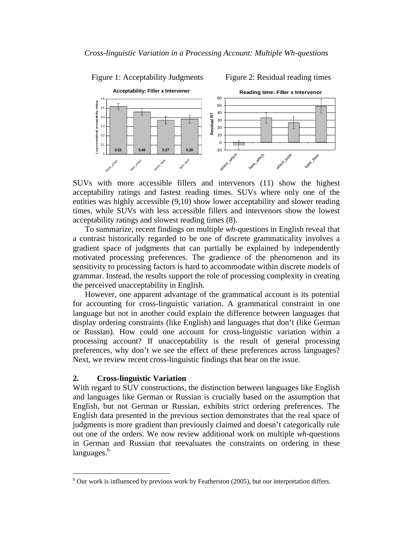



SUVs with more accessible fillers and intervenors (11) show the highest acceptability ratings and fastest reading times. SUVs where only one of the entities was highly accessible (9,10) show lower acceptability and slower reading times, while SUVs with less accessible fillers and intervenors show the lowest acceptability ratings and slowest reading times (8).

To summarize, recent findings on multiple *wh*-questions in English reveal that a contrast historically regarded to be one of discrete grammaticality involves a gradient space of judgments that can partially be explained by independently motivated processing preferences. The gradience of the phenomenon and its sensitivity to processing factors is hard to accommodate within discrete models of grammar. Instead, the results support the role of processing complexity in creating the perceived unacceptability in English.

However, one apparent advantage of the grammatical account is its potential for accounting for cross-linguistic variation. A grammatical constraint in one language but not in another could explain the difference between languages that display ordering constraints (like English) and languages that don't (like German or Russian). How could one account for cross-linguistic variation within a processing account? If unacceptability is the result of general processing preferences, why don't we see the effect of these preferences across languages? Next, we review recent cross-linguistic findings that bear on the issue.

## **2. Cross-linguistic Variation**

 $\overline{a}$ 

With regard to SUV constructions, the distinction between languages like English and languages like German or Russian is crucially based on the assumption that English, but not German or Russian, exhibits strict ordering preferences. The English data presented in the previous section demonstrates that the real space of judgments is more gradient than previously claimed and doesn't categorically rule out one of the orders. We now review additional work on multiple *wh-*questions in German and Russian that reevaluates the constraints on ordering in these languages.<sup>6</sup>

 $6$  Our work is influenced by previous work by Featherston (2005), but our interpretation differs.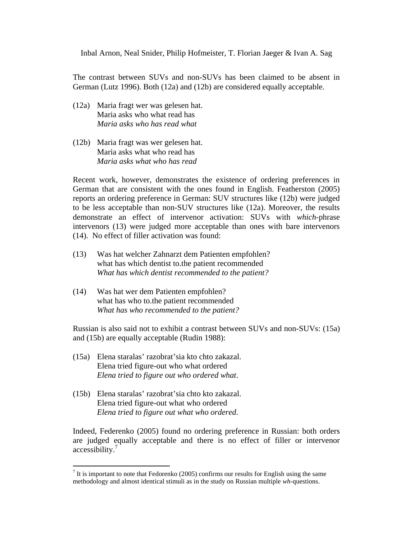The contrast between SUVs and non-SUVs has been claimed to be absent in German (Lutz 1996). Both (12a) and (12b) are considered equally acceptable.

- (12a) Maria fragt wer was gelesen hat. Maria asks who what read has *Maria asks who has read what*
- (12b) Maria fragt was wer gelesen hat. Maria asks what who read has *Maria asks what who has read*

Recent work, however, demonstrates the existence of ordering preferences in German that are consistent with the ones found in English. Featherston (2005) reports an ordering preference in German: SUV structures like (12b) were judged to be less acceptable than non-SUV structures like (12a). Moreover, the results demonstrate an effect of intervenor activation: SUVs with *which*-phrase intervenors (13) were judged more acceptable than ones with bare intervenors (14). No effect of filler activation was found:

- (13) Was hat welcher Zahnarzt dem Patienten empfohlen? what has which dentist to.the patient recommended *What has which dentist recommended to the patient?*
- (14) Was hat wer dem Patienten empfohlen? what has who to.the patient recommended *What has who recommended to the patient?*

Russian is also said not to exhibit a contrast between SUVs and non-SUVs: (15a) and (15b) are equally acceptable (Rudin 1988):

- (15a) Elena staralas' razobrat'sia kto chto zakazal. Elena tried figure-out who what ordered *Elena tried to figure out who ordered what*.
- (15b) Elena staralas' razobrat'sia chto kto zakazal. Elena tried figure-out what who ordered *Elena tried to figure out what who ordered*.

 $\overline{a}$ 

Indeed, Federenko (2005) found no ordering preference in Russian: both orders are judged equally acceptable and there is no effect of filler or intervenor accessibility.<sup>7</sup>

It is important to note that Fedorenko (2005) confirms our results for English using the same methodology and almost identical stimuli as in the study on Russian multiple *wh*-questions.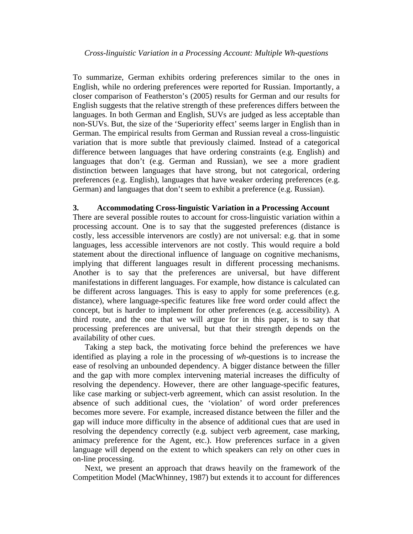To summarize, German exhibits ordering preferences similar to the ones in English, while no ordering preferences were reported for Russian. Importantly, a closer comparison of Featherston's (2005) results for German and our results for English suggests that the relative strength of these preferences differs between the languages. In both German and English, SUVs are judged as less acceptable than non-SUVs. But, the size of the 'Superiority effect' seems larger in English than in German. The empirical results from German and Russian reveal a cross-linguistic variation that is more subtle that previously claimed. Instead of a categorical difference between languages that have ordering constraints (e.g. English) and languages that don't (e.g. German and Russian), we see a more gradient distinction between languages that have strong, but not categorical, ordering preferences (e.g. English), languages that have weaker ordering preferences (e.g. German) and languages that don't seem to exhibit a preference (e.g. Russian).

## **3. Accommodating Cross-linguistic Variation in a Processing Account**

There are several possible routes to account for cross-linguistic variation within a processing account. One is to say that the suggested preferences (distance is costly, less accessible intervenors are costly) are not universal: e.g. that in some languages, less accessible intervenors are not costly. This would require a bold statement about the directional influence of language on cognitive mechanisms, implying that different languages result in different processing mechanisms. Another is to say that the preferences are universal, but have different manifestations in different languages. For example, how distance is calculated can be different across languages. This is easy to apply for some preferences (e.g. distance), where language-specific features like free word order could affect the concept, but is harder to implement for other preferences (e.g. accessibility). A third route, and the one that we will argue for in this paper, is to say that processing preferences are universal, but that their strength depends on the availability of other cues.

Taking a step back, the motivating force behind the preferences we have identified as playing a role in the processing of *wh*-questions is to increase the ease of resolving an unbounded dependency. A bigger distance between the filler and the gap with more complex intervening material increases the difficulty of resolving the dependency. However, there are other language-specific features, like case marking or subject-verb agreement, which can assist resolution. In the absence of such additional cues, the 'violation' of word order preferences becomes more severe. For example, increased distance between the filler and the gap will induce more difficulty in the absence of additional cues that are used in resolving the dependency correctly (e.g. subject verb agreement, case marking, animacy preference for the Agent, etc.). How preferences surface in a given language will depend on the extent to which speakers can rely on other cues in on-line processing.

Next, we present an approach that draws heavily on the framework of the Competition Model (MacWhinney, 1987) but extends it to account for differences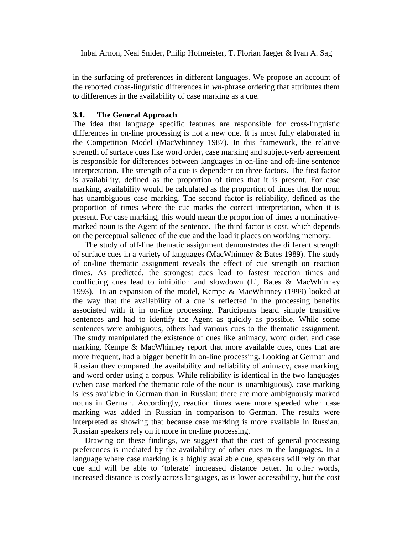in the surfacing of preferences in different languages. We propose an account of the reported cross-linguistic differences in *wh*-phrase ordering that attributes them to differences in the availability of case marking as a cue.

#### **3.1. The General Approach**

The idea that language specific features are responsible for cross-linguistic differences in on-line processing is not a new one. It is most fully elaborated in the Competition Model (MacWhinney 1987). In this framework, the relative strength of surface cues like word order, case marking and subject-verb agreement is responsible for differences between languages in on-line and off-line sentence interpretation. The strength of a cue is dependent on three factors. The first factor is availability, defined as the proportion of times that it is present. For case marking, availability would be calculated as the proportion of times that the noun has unambiguous case marking. The second factor is reliability, defined as the proportion of times where the cue marks the correct interpretation, when it is present. For case marking, this would mean the proportion of times a nominativemarked noun is the Agent of the sentence. The third factor is cost, which depends on the perceptual salience of the cue and the load it places on working memory.

The study of off-line thematic assignment demonstrates the different strength of surface cues in a variety of languages (MacWhinney & Bates 1989). The study of on-line thematic assignment reveals the effect of cue strength on reaction times. As predicted, the strongest cues lead to fastest reaction times and conflicting cues lead to inhibition and slowdown (Li, Bates & MacWhinney 1993). In an expansion of the model, Kempe & MacWhinney (1999) looked at the way that the availability of a cue is reflected in the processing benefits associated with it in on-line processing. Participants heard simple transitive sentences and had to identify the Agent as quickly as possible. While some sentences were ambiguous, others had various cues to the thematic assignment. The study manipulated the existence of cues like animacy, word order, and case marking. Kempe & MacWhinney report that more available cues, ones that are more frequent, had a bigger benefit in on-line processing. Looking at German and Russian they compared the availability and reliability of animacy, case marking, and word order using a corpus. While reliability is identical in the two languages (when case marked the thematic role of the noun is unambiguous), case marking is less available in German than in Russian: there are more ambiguously marked nouns in German. Accordingly, reaction times were more speeded when case marking was added in Russian in comparison to German. The results were interpreted as showing that because case marking is more available in Russian, Russian speakers rely on it more in on-line processing.

Drawing on these findings, we suggest that the cost of general processing preferences is mediated by the availability of other cues in the languages. In a language where case marking is a highly available cue, speakers will rely on that cue and will be able to 'tolerate' increased distance better. In other words, increased distance is costly across languages, as is lower accessibility, but the cost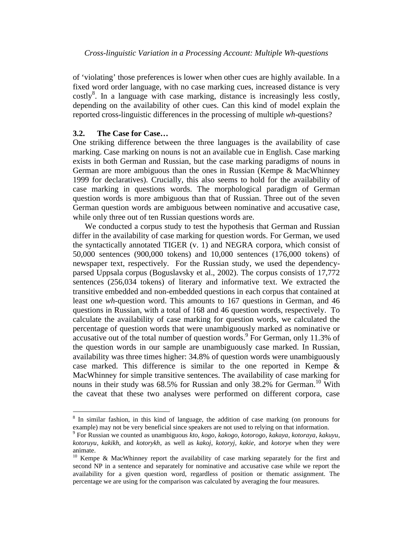of 'violating' those preferences is lower when other cues are highly available. In a fixed word order language, with no case marking cues, increased distance is very costly<sup>8</sup>. In a language with case marking, distance is increasingly less costly, depending on the availability of other cues. Can this kind of model explain the reported cross-linguistic differences in the processing of multiple *wh-*questions?

#### **3.2. The Case for Case…**

 $\overline{a}$ 

One striking difference between the three languages is the availability of case marking. Case marking on nouns is not an available cue in English. Case marking exists in both German and Russian, but the case marking paradigms of nouns in German are more ambiguous than the ones in Russian (Kempe & MacWhinney 1999 for declaratives). Crucially, this also seems to hold for the availability of case marking in questions words. The morphological paradigm of German question words is more ambiguous than that of Russian. Three out of the seven German question words are ambiguous between nominative and accusative case, while only three out of ten Russian questions words are.

We conducted a corpus study to test the hypothesis that German and Russian differ in the availability of case marking for question words. For German, we used the syntactically annotated TIGER (v. 1) and NEGRA corpora, which consist of 50,000 sentences (900,000 tokens) and 10,000 sentences (176,000 tokens) of newspaper text, respectively. For the Russian study, we used the dependencyparsed Uppsala corpus (Boguslavsky et al., 2002). The corpus consists of 17,772 sentences (256,034 tokens) of literary and informative text. We extracted the transitive embedded and non-embedded questions in each corpus that contained at least one *wh*-question word. This amounts to 167 questions in German, and 46 questions in Russian, with a total of 168 and 46 question words, respectively. To calculate the availability of case marking for question words, we calculated the percentage of question words that were unambiguously marked as nominative or  $\alpha$  accusative out of the total number of question words.<sup>9</sup> For German, only 11.3% of the question words in our sample are unambiguously case marked. In Russian, availability was three times higher: 34.8% of question words were unambiguously case marked. This difference is similar to the one reported in Kempe  $\&$ MacWhinney for simple transitive sentences. The availability of case marking for nouns in their study was  $68.5\%$  for Russian and only 38.2% for German.<sup>10</sup> With the caveat that these two analyses were performed on different corpora, case

<sup>&</sup>lt;sup>8</sup> In similar fashion, in this kind of language, the addition of case marking (on pronouns for example) may not be very beneficial since speakers are not used to relying on that information.

<sup>9</sup> For Russian we counted as unambiguous *kto*, *kogo*, *kakogo*, *kotorogo*, *kakaya*, *kotoraya*, *kakuyu*, *kotoruyu*, *kakikh*, and *kotorykh*, as well as *kakoj*, *kotoryj*, *kakie*, and *kotorye* when they were animate.

<sup>&</sup>lt;sup>10</sup> Kempe & MacWhinney report the availability of case marking separately for the first and second NP in a sentence and separately for nominative and accusative case while we report the availability for a given question word, regardless of position or thematic assignment. The percentage we are using for the comparison was calculated by averaging the four measures.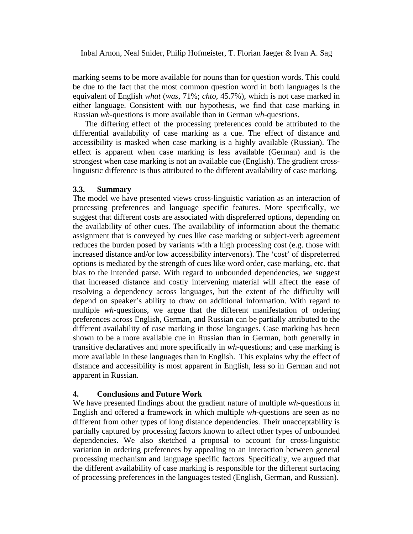marking seems to be more available for nouns than for question words. This could be due to the fact that the most common question word in both languages is the equivalent of English *what* (*was*, 71%; *chto*, 45.7%), which is not case marked in either language. Consistent with our hypothesis, we find that case marking in Russian *wh*-questions is more available than in German *wh*-questions.

The differing effect of the processing preferences could be attributed to the differential availability of case marking as a cue. The effect of distance and accessibility is masked when case marking is a highly available (Russian). The effect is apparent when case marking is less available (German) and is the strongest when case marking is not an available cue (English). The gradient crosslinguistic difference is thus attributed to the different availability of case marking.

## **3.3. Summary**

The model we have presented views cross-linguistic variation as an interaction of processing preferences and language specific features. More specifically, we suggest that different costs are associated with dispreferred options, depending on the availability of other cues. The availability of information about the thematic assignment that is conveyed by cues like case marking or subject-verb agreement reduces the burden posed by variants with a high processing cost (e.g. those with increased distance and/or low accessibility intervenors). The 'cost' of dispreferred options is mediated by the strength of cues like word order, case marking, etc. that bias to the intended parse. With regard to unbounded dependencies, we suggest that increased distance and costly intervening material will affect the ease of resolving a dependency across languages, but the extent of the difficulty will depend on speaker's ability to draw on additional information. With regard to multiple *wh-*questions, we argue that the different manifestation of ordering preferences across English, German, and Russian can be partially attributed to the different availability of case marking in those languages. Case marking has been shown to be a more available cue in Russian than in German, both generally in transitive declaratives and more specifically in *wh*-questions; and case marking is more available in these languages than in English. This explains why the effect of distance and accessibility is most apparent in English, less so in German and not apparent in Russian.

## **4. Conclusions and Future Work**

We have presented findings about the gradient nature of multiple *wh*-questions in English and offered a framework in which multiple *wh-*questions are seen as no different from other types of long distance dependencies. Their unacceptability is partially captured by processing factors known to affect other types of unbounded dependencies. We also sketched a proposal to account for cross-linguistic variation in ordering preferences by appealing to an interaction between general processing mechanism and language specific factors. Specifically, we argued that the different availability of case marking is responsible for the different surfacing of processing preferences in the languages tested (English, German, and Russian).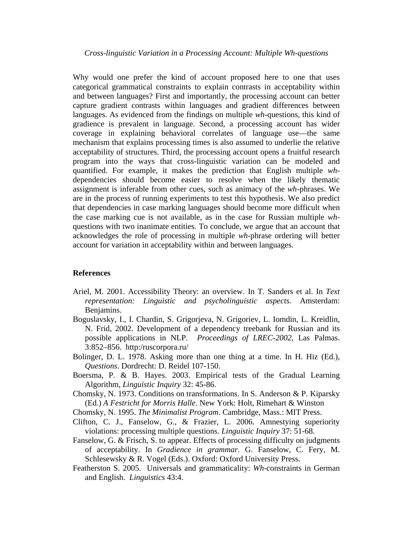Why would one prefer the kind of account proposed here to one that uses categorical grammatical constraints to explain contrasts in acceptability within and between languages? First and importantly, the processing account can better capture gradient contrasts within languages and gradient differences between languages. As evidenced from the findings on multiple *wh*-questions, this kind of gradience is prevalent in language. Second, a processing account has wider coverage in explaining behavioral correlates of language use—the same mechanism that explains processing times is also assumed to underlie the relative acceptability of structures. Third, the processing account opens a fruitful research program into the ways that cross-linguistic variation can be modeled and quantified. For example, it makes the prediction that English multiple *wh*dependencies should become easier to resolve when the likely thematic assignment is inferable from other cues, such as animacy of the *wh*-phrases. We are in the process of running experiments to test this hypothesis. We also predict that dependencies in case marking languages should become more difficult when the case marking cue is not available, as in the case for Russian multiple *wh*questions with two inanimate entities. To conclude, we argue that an account that acknowledges the role of processing in multiple *wh-*phrase ordering will better account for variation in acceptability within and between languages.

#### **References**

- Ariel, M. 2001. Accessibility Theory: an overview. In T. Sanders et al. In *Text representation: Linguistic and psycholinguistic aspects.* Amsterdam: Benjamins.
- Boguslavsky, I., I. Chardin, S. Grigorjeva, N. Grigoriev, L. Iomdin, L. Kreidlin, N. Frid, 2002. Development of a dependency treebank for Russian and its possible applications in NLP. *Proceedings of LREC-2002*, Las Palmas. 3:852–856. http:/ruscorpora.ru/
- Bolinger, D. L. 1978. Asking more than one thing at a time. In H. Hiz (Ed.), *Questions*. Dordrecht: D. Reidel 107-150.
- Boersma, P. & B. Hayes. 2003. Empirical tests of the Gradual Learning Algorithm, *Linguistic Inquiry* 32: 45-86.
- Chomsky, N. 1973. Conditions on transformations. In S. Anderson & P. Kiparsky (Ed.) *A Festricht for Morris Halle*. New York: Holt, Rimehart & Winston
- Chomsky, N. 1995. *The Minimalist Program*. Cambridge, Mass.: MIT Press.
- Clifton, C. J., Fanselow, G., & Frazier, L. 2006. Amnestying superiority violations: processing multiple questions. *Linguistic Inquiry* 37: 51-68.
- Fanselow, G. & Frisch, S. to appear. Effects of processing difficulty on judgments of acceptability. In *Gradience in grammar*. G. Fanselow, C. Fery, M. Schlesewsky & R. Vogel (Eds.). Oxford: Oxford University Press.
- Featherston S. 2005. Universals and grammaticality: *Wh-*constraints in German and English. *Linguistics* 43:4.